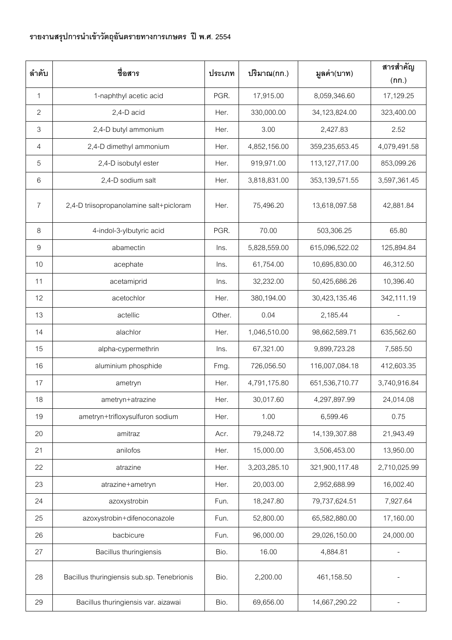## **รายงานสรุปการน าเข้าวัตถุอันตรายทางการเกษตร ปี พ.ศ. 2554**

| ลำดับ          | ชื่อสาร                                    | ประเภท | ปริมาณ(กก.)  | มูลค่า(บาท)    | สารสำคัญ<br>(nn.) |
|----------------|--------------------------------------------|--------|--------------|----------------|-------------------|
| $\mathbf{1}$   | 1-naphthyl acetic acid                     | PGR.   | 17,915.00    | 8,059,346.60   | 17,129.25         |
| $\overline{2}$ | 2,4-D acid                                 | Her.   | 330,000.00   | 34,123,824.00  | 323,400.00        |
| $\mathfrak{Z}$ | 2,4-D butyl ammonium                       | Her.   | 3.00         | 2,427.83       | 2.52              |
| $\overline{4}$ | 2,4-D dimethyl ammonium                    | Her.   | 4,852,156.00 | 359,235,653.45 | 4,079,491.58      |
| 5              | 2,4-D isobutyl ester                       | Her.   | 919,971.00   | 113,127,717.00 | 853,099.26        |
| 6              | 2,4-D sodium salt                          | Her.   | 3,818,831.00 | 353,139,571.55 | 3,597,361.45      |
| 7              | 2,4-D triisopropanolamine salt+picloram    | Her.   | 75,496.20    | 13,618,097.58  | 42,881.84         |
| 8              | 4-indol-3-ylbutyric acid                   | PGR.   | 70.00        | 503,306.25     | 65.80             |
| 9              | abamectin                                  | Ins.   | 5,828,559.00 | 615,096,522.02 | 125,894.84        |
| 10             | acephate                                   | Ins.   | 61,754.00    | 10,695,830.00  | 46,312.50         |
| 11             | acetamiprid                                | Ins.   | 32,232.00    | 50,425,686.26  | 10,396.40         |
| 12             | acetochlor                                 | Her.   | 380,194.00   | 30,423,135.46  | 342,111.19        |
| 13             | actellic                                   | Other. | 0.04         | 2,185.44       |                   |
| 14             | alachlor                                   | Her.   | 1,046,510.00 | 98,662,589.71  | 635,562.60        |
| 15             | alpha-cypermethrin                         | Ins.   | 67,321.00    | 9,899,723.28   | 7,585.50          |
| 16             | aluminium phosphide                        | Fmg.   | 726,056.50   | 116,007,084.18 | 412,603.35        |
| 17             | ametryn                                    | Her.   | 4,791,175.80 | 651,536,710.77 | 3,740,916.84      |
| 18             | ametryn+atrazine                           | Her.   | 30,017.60    | 4,297,897.99   | 24,014.08         |
| 19             | ametryn+trifloxysulfuron sodium            | Her.   | 1.00         | 6,599.46       | 0.75              |
| 20             | amitraz                                    | Acr.   | 79,248.72    | 14,139,307.88  | 21,943.49         |
| 21             | anilofos                                   | Her.   | 15,000.00    | 3,506,453.00   | 13,950.00         |
| 22             | atrazine                                   | Her.   | 3,203,285.10 | 321,900,117.48 | 2,710,025.99      |
| 23             | atrazine+ametryn                           | Her.   | 20,003.00    | 2,952,688.99   | 16,002.40         |
| 24             | azoxystrobin                               | Fun.   | 18,247.80    | 79,737,624.51  | 7,927.64          |
| 25             | azoxystrobin+difenoconazole                | Fun.   | 52,800.00    | 65,582,880.00  | 17,160.00         |
| 26             | bacbicure                                  | Fun.   | 96,000.00    | 29,026,150.00  | 24,000.00         |
| 27             | <b>Bacillus thuringiensis</b>              | Bio.   | 16.00        | 4,884.81       |                   |
| 28             | Bacillus thuringiensis sub.sp. Tenebrionis | Bio.   | 2,200.00     | 461,158.50     |                   |
| 29             | Bacillus thuringiensis var. aizawai        | Bio.   | 69,656.00    | 14,667,290.22  |                   |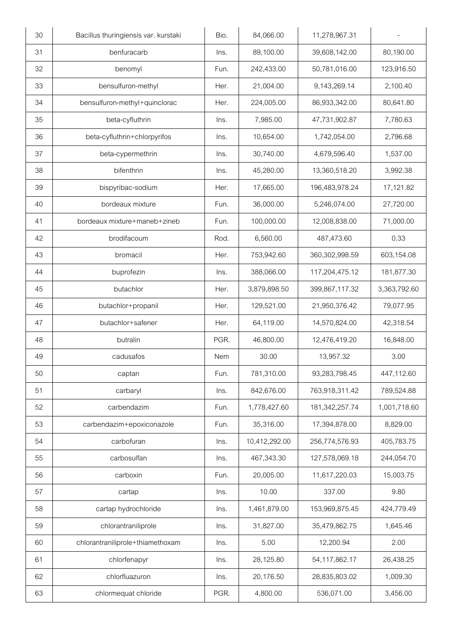| 30 | Bacillus thuringiensis var. kurstaki | Bio. | 84,066.00     | 11,278,967.31    |              |
|----|--------------------------------------|------|---------------|------------------|--------------|
| 31 | benfuracarb                          | Ins. | 89,100.00     | 39,608,142.00    | 80,190.00    |
| 32 | benomyl                              | Fun. | 242,433.00    | 50,781,016.00    | 123,916.50   |
| 33 | bensulfuron-methyl                   | Her. | 21,004.00     | 9,143,269.14     | 2,100.40     |
| 34 | bensulfuron-methyl+quinclorac        | Her. | 224,005.00    | 86,933,342.00    | 80,641.80    |
| 35 | beta-cyfluthrin                      | lns. | 7,985.00      | 47,731,902.87    | 7,780.63     |
| 36 | beta-cyfluthrin+chlorpyrifos         | Ins. | 10,654.00     | 1,742,054.00     | 2,796.68     |
| 37 | beta-cypermethrin                    | Ins. | 30,740.00     | 4,679,596.40     | 1,537.00     |
| 38 | bifenthrin                           | Ins. | 45,280.00     | 13,360,518.20    | 3,992.38     |
| 39 | bispyribac-sodium                    | Her. | 17,665.00     | 196,483,978.24   | 17,121.82    |
| 40 | bordeaux mixture                     | Fun. | 36,000.00     | 5,246,074.00     | 27,720.00    |
| 41 | bordeaux mixture+maneb+zineb         | Fun. | 100,000.00    | 12,008,838.00    | 71,000.00    |
| 42 | brodifacoum                          | Rod. | 6,560.00      | 487,473.60       | 0.33         |
| 43 | bromacil                             | Her. | 753,942.60    | 360,302,998.59   | 603,154.08   |
| 44 | buprofezin                           | Ins. | 388,066.00    | 117,204,475.12   | 181,877.30   |
| 45 | butachlor                            | Her. | 3,879,898.50  | 399,867,117.32   | 3,363,792.60 |
| 46 | butachlor+propanil                   | Her. | 129,521.00    | 21,950,376.42    | 79,077.95    |
| 47 | butachlor+safener                    | Her. | 64,119.00     | 14,570,824.00    | 42,318.54    |
| 48 | butralin                             | PGR. | 46,800.00     | 12,476,419.20    | 16,848.00    |
| 49 | cadusafos                            | Nem  | 30.00         | 13,957.32        | 3.00         |
| 50 | captan                               | Fun. | 781,310.00    | 93,283,798.45    | 447,112.60   |
| 51 | carbaryl                             | Ins. | 842,676.00    | 763,918,311.42   | 789,524.88   |
| 52 | carbendazim                          | Fun. | 1,778,427.60  | 181,342,257.74   | 1,001,718.60 |
| 53 | carbendazim+epoxiconazole            | Fun. | 35,316.00     | 17,394,878.00    | 8,829.00     |
| 54 | carbofuran                           | Ins. | 10,412,292.00 | 256,774,576.93   | 405,783.75   |
| 55 | carbosulfan                          | Ins. | 467,343.30    | 127,578,069.18   | 244,054.70   |
| 56 | carboxin                             | Fun. | 20,005.00     | 11,617,220.03    | 15,003.75    |
| 57 | cartap                               | Ins. | 10.00         | 337.00           | 9.80         |
| 58 | cartap hydrochloride                 | Ins. | 1,461,879.00  | 153,969,875.45   | 424,779.49   |
| 59 | chlorantraniliprole                  | Ins. | 31,827.00     | 35,479,862.75    | 1,645.46     |
| 60 | chlorantraniliprole+thiamethoxam     | lns. | 5.00          | 12,200.94        | 2.00         |
| 61 | chlorfenapyr                         | Ins. | 28,125.80     | 54, 117, 862. 17 | 26,438.25    |
| 62 | chlorfluazuron                       | Ins. | 20,176.50     | 28,835,803.02    | 1,009.30     |
| 63 | chlormequat chloride                 | PGR. | 4,800.00      | 536,071.00       | 3,456.00     |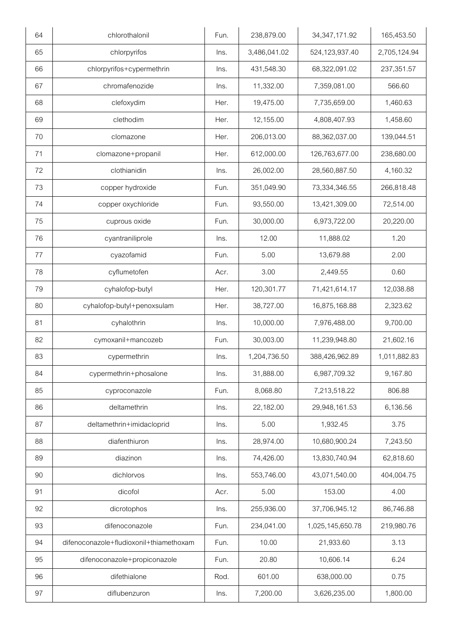| 64 | chlorothalonil                          | Fun. | 238,879.00   | 34, 347, 171. 92 | 165,453.50   |
|----|-----------------------------------------|------|--------------|------------------|--------------|
| 65 | chlorpyrifos                            | Ins. | 3,486,041.02 | 524,123,937.40   | 2,705,124.94 |
| 66 | chlorpyrifos+cypermethrin               | Ins. | 431,548.30   | 68,322,091.02    | 237,351.57   |
| 67 | chromafenozide                          | Ins. | 11,332.00    | 7,359,081.00     | 566.60       |
| 68 | clefoxydim                              | Her. | 19,475.00    | 7,735,659.00     | 1,460.63     |
| 69 | clethodim                               | Her. | 12,155.00    | 4,808,407.93     | 1,458.60     |
| 70 | clomazone                               | Her. | 206,013.00   | 88,362,037.00    | 139,044.51   |
| 71 | clomazone+propanil                      | Her. | 612,000.00   | 126,763,677.00   | 238,680.00   |
| 72 | clothianidin                            | Ins. | 26,002.00    | 28,560,887.50    | 4,160.32     |
| 73 | copper hydroxide                        | Fun. | 351,049.90   | 73,334,346.55    | 266,818.48   |
| 74 | copper oxychloride                      | Fun. | 93,550.00    | 13,421,309.00    | 72,514.00    |
| 75 | cuprous oxide                           | Fun. | 30,000.00    | 6,973,722.00     | 20,220.00    |
| 76 | cyantraniliprole                        | Ins. | 12.00        | 11,888.02        | 1.20         |
| 77 | cyazofamid                              | Fun. | 5.00         | 13,679.88        | 2.00         |
| 78 | cyflumetofen                            | Acr. | 3.00         | 2,449.55         | 0.60         |
| 79 | cyhalofop-butyl                         | Her. | 120,301.77   | 71,421,614.17    | 12,038.88    |
| 80 | cyhalofop-butyl+penoxsulam              | Her. | 38,727.00    | 16,875,168.88    | 2,323.62     |
| 81 | cyhalothrin                             | Ins. | 10,000.00    | 7,976,488.00     | 9,700.00     |
| 82 | cymoxanil+mancozeb                      | Fun. | 30,003.00    | 11,239,948.80    | 21,602.16    |
| 83 | cypermethrin                            | Ins. | 1,204,736.50 | 388,426,962.89   | 1,011,882.83 |
| 84 | cypermethrin+phosalone                  | Ins. | 31,888.00    | 6,987,709.32     | 9,167.80     |
| 85 | cyproconazole                           | Fun. | 8,068.80     | 7,213,518.22     | 806.88       |
| 86 | deltamethrin                            | Ins. | 22,182.00    | 29,948,161.53    | 6,136.56     |
| 87 | deltamethrin+imidacloprid               | Ins. | 5.00         | 1,932.45         | 3.75         |
| 88 | diafenthiuron                           | Ins. | 28,974.00    | 10,680,900.24    | 7,243.50     |
| 89 | diazinon                                | Ins. | 74,426.00    | 13,830,740.94    | 62,818.60    |
| 90 | dichlorvos                              | Ins. | 553,746.00   | 43,071,540.00    | 404,004.75   |
| 91 | dicofol                                 | Acr. | 5.00         | 153.00           | 4.00         |
| 92 | dicrotophos                             | Ins. | 255,936.00   | 37,706,945.12    | 86,746.88    |
| 93 | difenoconazole                          | Fun. | 234,041.00   | 1,025,145,650.78 | 219,980.76   |
| 94 | difenoconazole+fludioxonil+thiamethoxam | Fun. | 10.00        | 21,933.60        | 3.13         |
| 95 | difenoconazole+propiconazole            | Fun. | 20.80        | 10,606.14        | 6.24         |
| 96 | difethialone                            | Rod. | 601.00       | 638,000.00       | 0.75         |
| 97 | diflubenzuron                           | Ins. | 7,200.00     | 3,626,235.00     | 1,800.00     |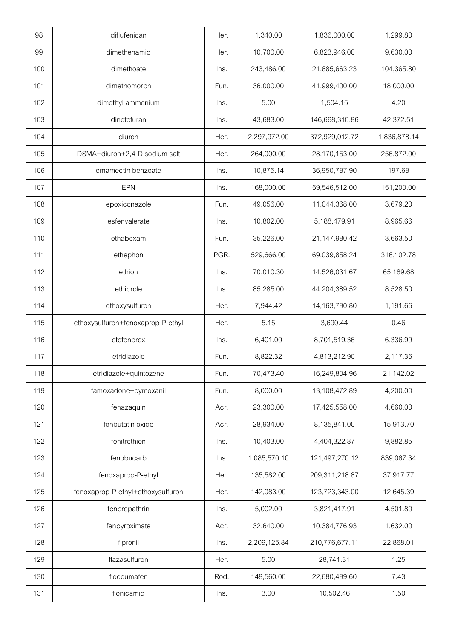| 98  | diflufenican                      | Her. | 1,340.00     | 1,836,000.00     | 1,299.80     |
|-----|-----------------------------------|------|--------------|------------------|--------------|
| 99  | dimethenamid                      | Her. | 10,700.00    | 6,823,946.00     | 9,630.00     |
| 100 | dimethoate                        | Ins. | 243,486.00   | 21,685,663.23    | 104,365.80   |
| 101 | dimethomorph                      | Fun. | 36,000.00    | 41,999,400.00    | 18,000.00    |
| 102 | dimethyl ammonium                 | Ins. | 5.00         | 1,504.15         | 4.20         |
| 103 | dinotefuran                       | Ins. | 43,683.00    | 146,668,310.86   | 42,372.51    |
| 104 | diuron                            | Her. | 2,297,972.00 | 372,929,012.72   | 1,836,878.14 |
| 105 | DSMA+diuron+2,4-D sodium salt     | Her. | 264,000.00   | 28,170,153.00    | 256,872.00   |
| 106 | emamectin benzoate                | Ins. | 10,875.14    | 36,950,787.90    | 197.68       |
| 107 | <b>EPN</b>                        | Ins. | 168,000.00   | 59,546,512.00    | 151,200.00   |
| 108 | epoxiconazole                     | Fun. | 49,056.00    | 11,044,368.00    | 3,679.20     |
| 109 | esfenvalerate                     | Ins. | 10,802.00    | 5,188,479.91     | 8,965.66     |
| 110 | ethaboxam                         | Fun. | 35,226.00    | 21,147,980.42    | 3,663.50     |
| 111 | ethephon                          | PGR. | 529,666.00   | 69,039,858.24    | 316,102.78   |
| 112 | ethion                            | Ins. | 70,010.30    | 14,526,031.67    | 65,189.68    |
| 113 | ethiprole                         | Ins. | 85,285.00    | 44,204,389.52    | 8,528.50     |
| 114 | ethoxysulfuron                    | Her. | 7,944.42     | 14, 163, 790. 80 | 1,191.66     |
| 115 | ethoxysulfuron+fenoxaprop-P-ethyl | Her. | 5.15         | 3,690.44         | 0.46         |
| 116 | etofenprox                        | Ins. | 6,401.00     | 8,701,519.36     | 6,336.99     |
| 117 | etridiazole                       | Fun. | 8,822.32     | 4,813,212.90     | 2,117.36     |
| 118 | etridiazole+quintozene            | Fun. | 70,473.40    | 16,249,804.96    | 21,142.02    |
| 119 | famoxadone+cymoxanil              | Fun. | 8,000.00     | 13,108,472.89    | 4,200.00     |
| 120 | fenazaquin                        | Acr. | 23,300.00    | 17,425,558.00    | 4,660.00     |
| 121 | fenbutatin oxide                  | Acr. | 28,934.00    | 8,135,841.00     | 15,913.70    |
| 122 | fenitrothion                      | Ins. | 10,403.00    | 4,404,322.87     | 9,882.85     |
| 123 | fenobucarb                        | Ins. | 1,085,570.10 | 121,497,270.12   | 839,067.34   |
| 124 | fenoxaprop-P-ethyl                | Her. | 135,582.00   | 209,311,218.87   | 37,917.77    |
| 125 | fenoxaprop-P-ethyl+ethoxysulfuron | Her. | 142,083.00   | 123,723,343.00   | 12,645.39    |
| 126 | fenpropathrin                     | Ins. | 5,002.00     | 3,821,417.91     | 4,501.80     |
| 127 | fenpyroximate                     | Acr. | 32,640.00    | 10,384,776.93    | 1,632.00     |
| 128 | fipronil                          | Ins. | 2,209,125.84 | 210,776,677.11   | 22,868.01    |
| 129 | flazasulfuron                     | Her. | 5.00         | 28,741.31        | 1.25         |
| 130 | flocoumafen                       | Rod. | 148,560.00   | 22,680,499.60    | 7.43         |
| 131 | flonicamid                        | Ins. | 3.00         | 10,502.46        | 1.50         |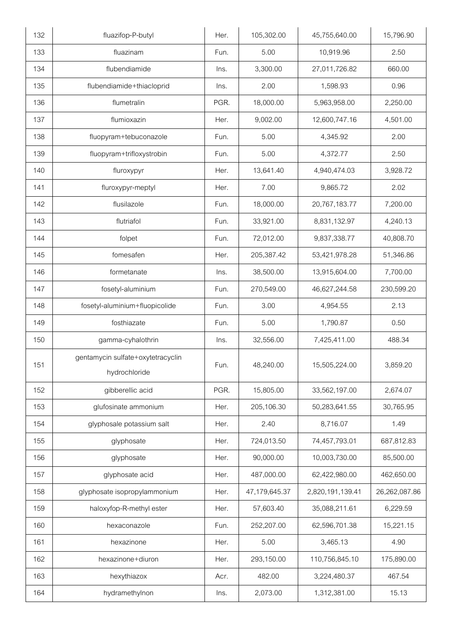| 132 | fluazifop-P-butyl                                  | Her. | 105,302.00    | 45,755,640.00    | 15,796.90     |
|-----|----------------------------------------------------|------|---------------|------------------|---------------|
| 133 | fluazinam                                          | Fun. | 5.00          | 10,919.96        | 2.50          |
| 134 | flubendiamide                                      | Ins. | 3,300.00      | 27,011,726.82    | 660.00        |
| 135 | flubendiamide+thiacloprid                          | Ins. | 2.00          | 1,598.93         | 0.96          |
| 136 | flumetralin                                        | PGR. | 18,000.00     | 5,963,958.00     | 2,250.00      |
| 137 | flumioxazin                                        | Her. | 9,002.00      | 12,600,747.16    | 4,501.00      |
| 138 | fluopyram+tebuconazole                             | Fun. | 5.00          | 4,345.92         | 2.00          |
| 139 | fluopyram+trifloxystrobin                          | Fun. | 5.00          | 4,372.77         | 2.50          |
| 140 | fluroxypyr                                         | Her. | 13,641.40     | 4,940,474.03     | 3,928.72      |
| 141 | fluroxypyr-meptyl                                  | Her. | 7.00          | 9,865.72         | 2.02          |
| 142 | flusilazole                                        | Fun. | 18,000.00     | 20,767,183.77    | 7,200.00      |
| 143 | flutriafol                                         | Fun. | 33,921.00     | 8,831,132.97     | 4,240.13      |
| 144 | folpet                                             | Fun. | 72,012.00     | 9,837,338.77     | 40,808.70     |
| 145 | fomesafen                                          | Her. | 205,387.42    | 53,421,978.28    | 51,346.86     |
| 146 | formetanate                                        | Ins. | 38,500.00     | 13,915,604.00    | 7,700.00      |
| 147 | fosetyl-aluminium                                  | Fun. | 270,549.00    | 46,627,244.58    | 230,599.20    |
| 148 | fosetyl-aluminium+fluopicolide                     | Fun. | 3.00          | 4,954.55         | 2.13          |
| 149 | fosthiazate                                        | Fun. | 5.00          | 1,790.87         | 0.50          |
| 150 | gamma-cyhalothrin                                  | Ins. | 32,556.00     | 7,425,411.00     | 488.34        |
| 151 | gentamycin sulfate+oxytetracyclin<br>hydrochloride | Fun. | 48,240.00     | 15,505,224.00    | 3,859.20      |
| 152 | gibberellic acid                                   | PGR. | 15,805.00     | 33,562,197.00    | 2,674.07      |
| 153 | glufosinate ammonium                               | Her. | 205,106.30    | 50,283,641.55    | 30,765.95     |
| 154 | glyphosale potassium salt                          | Her. | 2.40          | 8,716.07         | 1.49          |
| 155 | glyphosate                                         | Her. | 724,013.50    | 74,457,793.01    | 687,812.83    |
| 156 | glyphosate                                         | Her. | 90,000.00     | 10,003,730.00    | 85,500.00     |
| 157 | glyphosate acid                                    | Her. | 487,000.00    | 62,422,980.00    | 462,650.00    |
| 158 | glyphosate isopropylammonium                       | Her. | 47,179,645.37 | 2,820,191,139.41 | 26,262,087.86 |
| 159 | haloxyfop-R-methyl ester                           | Her. | 57,603.40     | 35,088,211.61    | 6,229.59      |
| 160 | hexaconazole                                       | Fun. | 252,207.00    | 62,596,701.38    | 15,221.15     |
|     |                                                    |      |               |                  |               |
| 161 | hexazinone                                         | Her. | 5.00          | 3,465.13         | 4.90          |
| 162 | hexazinone+diuron                                  | Her. | 293,150.00    | 110,756,845.10   | 175,890.00    |
| 163 | hexythiazox                                        | Acr. | 482.00        | 3,224,480.37     | 467.54        |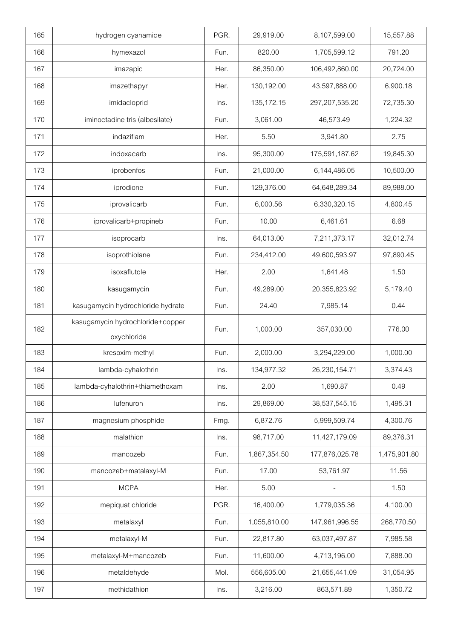| 165 | hydrogen cyanamide                              | PGR. | 29,919.00    | 8,107,599.00   | 15,557.88    |
|-----|-------------------------------------------------|------|--------------|----------------|--------------|
| 166 | hymexazol                                       | Fun. | 820.00       | 1,705,599.12   | 791.20       |
| 167 | imazapic                                        | Her. | 86,350.00    | 106,492,860.00 | 20,724.00    |
| 168 | imazethapyr                                     | Her. | 130,192.00   | 43,597,888.00  | 6,900.18     |
| 169 | imidacloprid                                    | lns. | 135, 172. 15 | 297,207,535.20 | 72,735.30    |
| 170 | iminoctadine tris (albesilate)                  | Fun. | 3,061.00     | 46,573.49      | 1,224.32     |
| 171 | indaziflam                                      | Her. | 5.50         | 3,941.80       | 2.75         |
| 172 | indoxacarb                                      | Ins. | 95,300.00    | 175,591,187.62 | 19,845.30    |
| 173 | iprobenfos                                      | Fun. | 21,000.00    | 6,144,486.05   | 10,500.00    |
| 174 | iprodione                                       | Fun. | 129,376.00   | 64,648,289.34  | 89,988.00    |
| 175 | iprovalicarb                                    | Fun. | 6,000.56     | 6,330,320.15   | 4,800.45     |
| 176 | iprovalicarb+propineb                           | Fun. | 10.00        | 6,461.61       | 6.68         |
| 177 | isoprocarb                                      | Ins. | 64,013.00    | 7,211,373.17   | 32,012.74    |
| 178 | isoprothiolane                                  | Fun. | 234,412.00   | 49,600,593.97  | 97,890.45    |
| 179 | isoxaflutole                                    | Her. | 2.00         | 1,641.48       | 1.50         |
| 180 | kasugamycin                                     | Fun. | 49,289.00    | 20,355,823.92  | 5,179.40     |
| 181 | kasugamycin hydrochloride hydrate               | Fun. | 24.40        | 7,985.14       | 0.44         |
| 182 | kasugamycin hydrochloride+copper<br>oxychloride | Fun. | 1,000.00     | 357,030.00     | 776.00       |
| 183 | kresoxim-methyl                                 | Fun. | 2,000.00     | 3,294,229.00   | 1,000.00     |
| 184 | lambda-cyhalothrin                              | Ins. | 134,977.32   | 26,230,154.71  | 3,374.43     |
| 185 | lambda-cyhalothrin+thiamethoxam                 | Ins. | 2.00         | 1,690.87       | 0.49         |
| 186 | lufenuron                                       | Ins. | 29,869.00    | 38,537,545.15  | 1,495.31     |
| 187 | magnesium phosphide                             | Fmg. | 6,872.76     | 5,999,509.74   | 4,300.76     |
| 188 | malathion                                       | Ins. | 98,717.00    | 11,427,179.09  | 89,376.31    |
| 189 | mancozeb                                        | Fun. | 1,867,354.50 | 177,876,025.78 | 1,475,901.80 |
| 190 | mancozeb+matalaxyl-M                            | Fun. | 17.00        | 53,761.97      | 11.56        |
| 191 | <b>MCPA</b>                                     | Her. | 5.00         |                | 1.50         |
| 192 | mepiquat chloride                               | PGR. | 16,400.00    | 1,779,035.36   | 4,100.00     |
| 193 | metalaxyl                                       | Fun. | 1,055,810.00 | 147,961,996.55 | 268,770.50   |
| 194 | metalaxyl-M                                     | Fun. | 22,817.80    | 63,037,497.87  | 7,985.58     |
| 195 | metalaxyl-M+mancozeb                            | Fun. | 11,600.00    | 4,713,196.00   | 7,888.00     |
| 196 | metaldehyde                                     | Mol. | 556,605.00   | 21,655,441.09  | 31,054.95    |
| 197 | methidathion                                    | Ins. | 3,216.00     | 863,571.89     | 1,350.72     |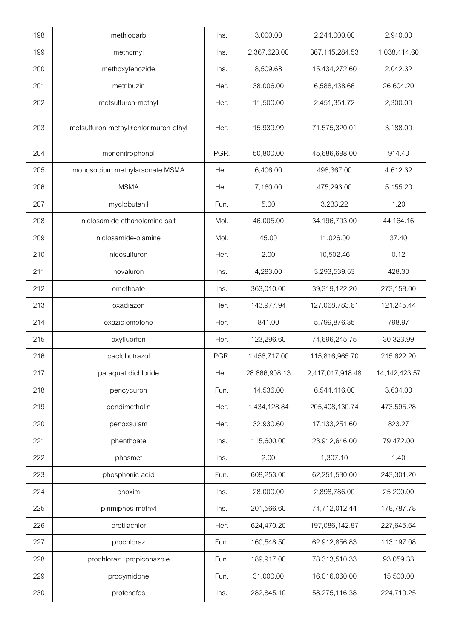| 198 | methiocarb                           | Ins. | 3,000.00      | 2,244,000.00      | 2,940.00         |
|-----|--------------------------------------|------|---------------|-------------------|------------------|
| 199 | methomyl                             | Ins. | 2,367,628.00  | 367, 145, 284. 53 | 1,038,414.60     |
| 200 | methoxyfenozide                      | Ins. | 8,509.68      | 15,434,272.60     | 2,042.32         |
| 201 | metribuzin                           | Her. | 38,006.00     | 6,588,438.66      | 26,604.20        |
| 202 | metsulfuron-methyl                   | Her. | 11,500.00     | 2,451,351.72      | 2,300.00         |
| 203 | metsulfuron-methyl+chlorimuron-ethyl | Her. | 15,939.99     | 71,575,320.01     | 3,188.00         |
| 204 | mononitrophenol                      | PGR. | 50,800.00     | 45,686,688.00     | 914.40           |
| 205 | monosodium methylarsonate MSMA       | Her. | 6,406.00      | 498,367.00        | 4,612.32         |
| 206 | <b>MSMA</b>                          | Her. | 7,160.00      | 475,293.00        | 5,155.20         |
| 207 | myclobutanil                         | Fun. | 5.00          | 3,233.22          | 1.20             |
| 208 | niclosamide ethanolamine salt        | Mol. | 46,005.00     | 34,196,703.00     | 44,164.16        |
| 209 | niclosamide-olamine                  | Mol. | 45.00         | 11,026.00         | 37.40            |
| 210 | nicosulfuron                         | Her. | 2.00          | 10,502.46         | 0.12             |
| 211 | novaluron                            | Ins. | 4,283.00      | 3,293,539.53      | 428.30           |
| 212 | omethoate                            | Ins. | 363,010.00    | 39,319,122.20     | 273,158.00       |
| 213 | oxadiazon                            | Her. | 143,977.94    | 127,068,783.61    | 121,245.44       |
| 214 | oxaziclomefone                       | Her. | 841.00        | 5,799,876.35      | 798.97           |
| 215 | oxyfluorfen                          | Her. | 123,296.60    | 74,696,245.75     | 30,323.99        |
| 216 | paclobutrazol                        | PGR. | 1,456,717.00  | 115,816,965.70    | 215,622.20       |
| 217 | paraquat dichloride                  | Her. | 28,866,908.13 | 2,417,017,918.48  | 14, 142, 423. 57 |
| 218 | pencycuron                           | Fun. | 14,536.00     | 6,544,416.00      | 3,634.00         |
| 219 | pendimethalin                        | Her. | 1,434,128.84  | 205,408,130.74    | 473,595.28       |
| 220 | penoxsulam                           | Her. | 32,930.60     | 17, 133, 251.60   | 823.27           |
| 221 | phenthoate                           | Ins. | 115,600.00    | 23,912,646.00     | 79,472.00        |
| 222 | phosmet                              | Ins. | 2.00          | 1,307.10          | 1.40             |
| 223 | phosphonic acid                      | Fun. | 608,253.00    | 62,251,530.00     | 243,301.20       |
| 224 | phoxim                               | Ins. | 28,000.00     | 2,898,786.00      | 25,200.00        |
| 225 | pirimiphos-methyl                    | lns. | 201,566.60    | 74,712,012.44     | 178,787.78       |
| 226 | pretilachlor                         | Her. | 624,470.20    | 197,086,142.87    | 227,645.64       |
| 227 | prochloraz                           | Fun. | 160,548.50    | 62,912,856.83     | 113,197.08       |
| 228 | prochloraz+propiconazole             | Fun. | 189,917.00    | 78,313,510.33     | 93,059.33        |
| 229 | procymidone                          | Fun. | 31,000.00     | 16,016,060.00     | 15,500.00        |
| 230 | profenofos                           | Ins. | 282,845.10    | 58,275,116.38     | 224,710.25       |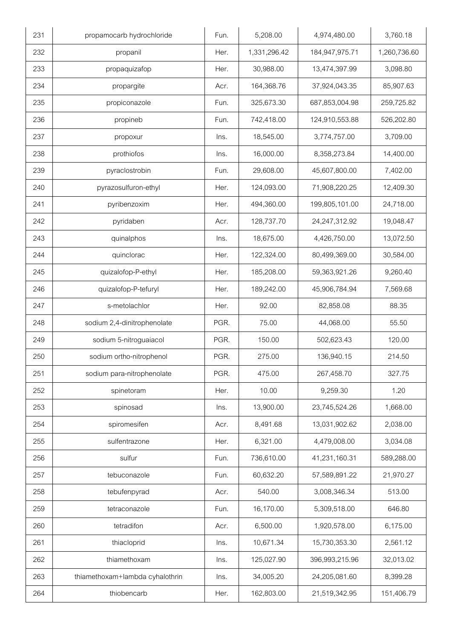| 231 | propamocarb hydrochloride       | Fun. | 5,208.00     | 4,974,480.00   | 3,760.18     |
|-----|---------------------------------|------|--------------|----------------|--------------|
| 232 | propanil                        | Her. | 1,331,296.42 | 184,947,975.71 | 1,260,736.60 |
| 233 | propaquizafop                   | Her. | 30,988.00    | 13,474,397.99  | 3,098.80     |
| 234 | propargite                      | Acr. | 164,368.76   | 37,924,043.35  | 85,907.63    |
| 235 | propiconazole                   | Fun. | 325,673.30   | 687,853,004.98 | 259,725.82   |
| 236 | propineb                        | Fun. | 742,418.00   | 124,910,553.88 | 526,202.80   |
| 237 | propoxur                        | Ins. | 18,545.00    | 3,774,757.00   | 3,709.00     |
| 238 | prothiofos                      | Ins. | 16,000.00    | 8,358,273.84   | 14,400.00    |
| 239 | pyraclostrobin                  | Fun. | 29,608.00    | 45,607,800.00  | 7,402.00     |
| 240 | pyrazosulfuron-ethyl            | Her. | 124,093.00   | 71,908,220.25  | 12,409.30    |
| 241 | pyribenzoxim                    | Her. | 494,360.00   | 199,805,101.00 | 24,718.00    |
| 242 | pyridaben                       | Acr. | 128,737.70   | 24,247,312.92  | 19,048.47    |
| 243 | quinalphos                      | Ins. | 18,675.00    | 4,426,750.00   | 13,072.50    |
| 244 | quinclorac                      | Her. | 122,324.00   | 80,499,369.00  | 30,584.00    |
| 245 | quizalofop-P-ethyl              | Her. | 185,208.00   | 59,363,921.26  | 9,260.40     |
| 246 | quizalofop-P-tefuryl            | Her. | 189,242.00   | 45,906,784.94  | 7,569.68     |
| 247 | s-metolachlor                   | Her. | 92.00        | 82,858.08      | 88.35        |
| 248 | sodium 2,4-dinitrophenolate     | PGR. | 75.00        | 44,068.00      | 55.50        |
| 249 | sodium 5-nitroguaiacol          | PGR. | 150.00       | 502,623.43     | 120.00       |
| 250 | sodium ortho-nitrophenol        | PGR. | 275.00       | 136,940.15     | 214.50       |
| 251 | sodium para-nitrophenolate      | PGR. | 475.00       | 267,458.70     | 327.75       |
| 252 | spinetoram                      | Her. | 10.00        | 9,259.30       | 1.20         |
| 253 | spinosad                        | Ins. | 13,900.00    | 23,745,524.26  | 1,668.00     |
| 254 | spiromesifen                    | Acr. | 8,491.68     | 13,031,902.62  | 2,038.00     |
| 255 | sulfentrazone                   | Her. | 6,321.00     | 4,479,008.00   | 3,034.08     |
| 256 | sulfur                          | Fun. | 736,610.00   | 41,231,160.31  | 589,288.00   |
| 257 | tebuconazole                    | Fun. | 60,632.20    | 57,589,891.22  | 21,970.27    |
| 258 | tebufenpyrad                    | Acr. | 540.00       | 3,008,346.34   | 513.00       |
| 259 | tetraconazole                   | Fun. | 16,170.00    | 5,309,518.00   | 646.80       |
| 260 | tetradifon                      | Acr. | 6,500.00     | 1,920,578.00   | 6,175.00     |
| 261 | thiacloprid                     | Ins. | 10,671.34    | 15,730,353.30  | 2,561.12     |
| 262 | thiamethoxam                    | Ins. | 125,027.90   | 396,993,215.96 | 32,013.02    |
| 263 | thiamethoxam+lambda cyhalothrin | Ins. | 34,005.20    | 24,205,081.60  | 8,399.28     |
| 264 | thiobencarb                     | Her. | 162,803.00   | 21,519,342.95  | 151,406.79   |